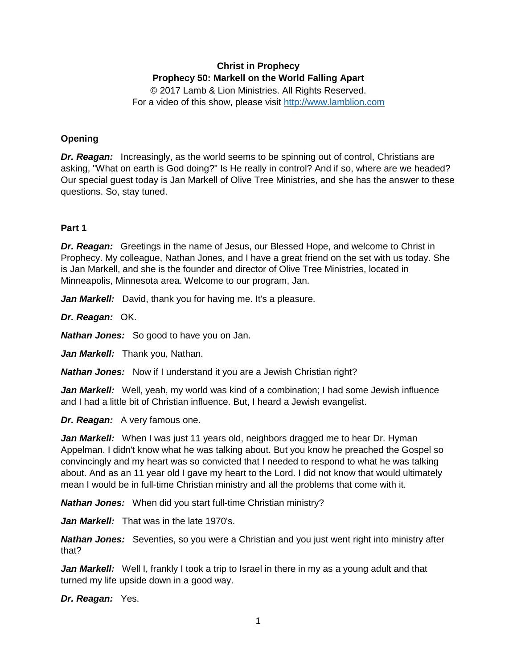# **Christ in Prophecy Prophecy 50: Markell on the World Falling Apart**

© 2017 Lamb & Lion Ministries. All Rights Reserved. For a video of this show, please visit [http://www.lamblion.com](http://www.lamblion.com/)

### **Opening**

*Dr. Reagan:* Increasingly, as the world seems to be spinning out of control, Christians are asking, "What on earth is God doing?" Is He really in control? And if so, where are we headed? Our special guest today is Jan Markell of Olive Tree Ministries, and she has the answer to these questions. So, stay tuned.

### **Part 1**

*Dr. Reagan:* Greetings in the name of Jesus, our Blessed Hope, and welcome to Christ in Prophecy. My colleague, Nathan Jones, and I have a great friend on the set with us today. She is Jan Markell, and she is the founder and director of Olive Tree Ministries, located in Minneapolis, Minnesota area. Welcome to our program, Jan.

Jan Markell: David, thank you for having me. It's a pleasure.

*Dr. Reagan:* OK.

*Nathan Jones:* So good to have you on Jan.

*Jan Markell:* Thank you, Nathan.

*Nathan Jones:* Now if I understand it you are a Jewish Christian right?

*Jan Markell:* Well, yeah, my world was kind of a combination; I had some Jewish influence and I had a little bit of Christian influence. But, I heard a Jewish evangelist.

*Dr. Reagan:* A very famous one.

*Jan Markell:* When I was just 11 years old, neighbors dragged me to hear Dr. Hyman Appelman. I didn't know what he was talking about. But you know he preached the Gospel so convincingly and my heart was so convicted that I needed to respond to what he was talking about. And as an 11 year old I gave my heart to the Lord. I did not know that would ultimately mean I would be in full-time Christian ministry and all the problems that come with it.

*Nathan Jones:* When did you start full-time Christian ministry?

*Jan Markell:* That was in the late 1970's.

*Nathan Jones:* Seventies, so you were a Christian and you just went right into ministry after that?

*Jan Markell:* Well I, frankly I took a trip to Israel in there in my as a young adult and that turned my life upside down in a good way.

*Dr. Reagan:* Yes.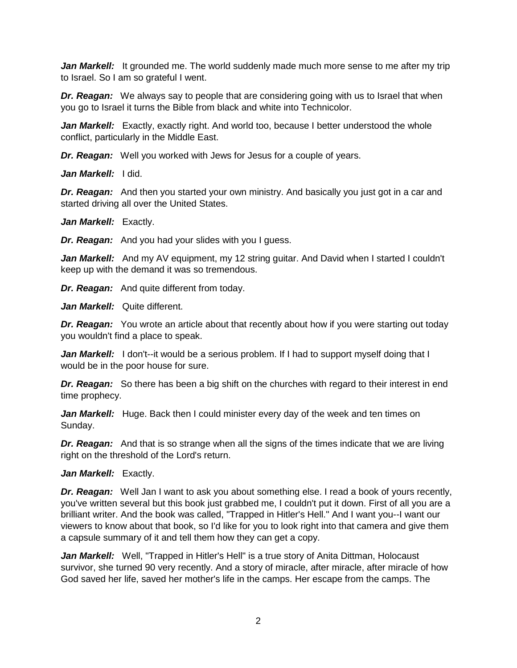*Jan Markell:* It grounded me. The world suddenly made much more sense to me after my trip to Israel. So I am so grateful I went.

*Dr. Reagan:* We always say to people that are considering going with us to Israel that when you go to Israel it turns the Bible from black and white into Technicolor.

**Jan Markell:** Exactly, exactly right. And world too, because I better understood the whole conflict, particularly in the Middle East.

*Dr. Reagan:* Well you worked with Jews for Jesus for a couple of years.

*Jan Markell:* I did.

*Dr. Reagan:* And then you started your own ministry. And basically you just got in a car and started driving all over the United States.

Jan Markell: Exactly.

*Dr. Reagan:* And you had your slides with you I guess.

**Jan Markell:** And my AV equipment, my 12 string quitar. And David when I started I couldn't keep up with the demand it was so tremendous.

*Dr. Reagan:* And quite different from today.

*Jan Markell:* Quite different.

**Dr. Reagan:** You wrote an article about that recently about how if you were starting out today you wouldn't find a place to speak.

*Jan Markell:* I don't--it would be a serious problem. If I had to support myself doing that I would be in the poor house for sure.

**Dr. Reagan:** So there has been a big shift on the churches with regard to their interest in end time prophecy.

Jan Markell: Huge. Back then I could minister every day of the week and ten times on Sunday.

*Dr. Reagan:* And that is so strange when all the signs of the times indicate that we are living right on the threshold of the Lord's return.

*Jan Markell:* Exactly.

*Dr. Reagan:* Well Jan I want to ask you about something else. I read a book of yours recently, you've written several but this book just grabbed me, I couldn't put it down. First of all you are a brilliant writer. And the book was called, "Trapped in Hitler's Hell." And I want you--I want our viewers to know about that book, so I'd like for you to look right into that camera and give them a capsule summary of it and tell them how they can get a copy.

*Jan Markell:* Well, "Trapped in Hitler's Hell" is a true story of Anita Dittman, Holocaust survivor, she turned 90 very recently. And a story of miracle, after miracle, after miracle of how God saved her life, saved her mother's life in the camps. Her escape from the camps. The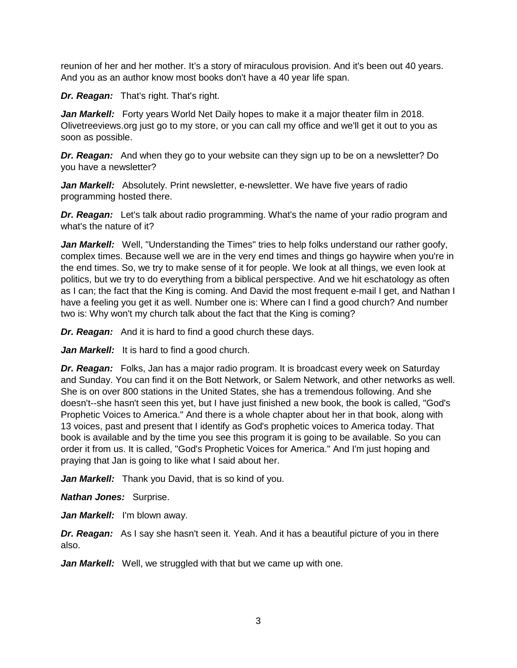reunion of her and her mother. It's a story of miraculous provision. And it's been out 40 years. And you as an author know most books don't have a 40 year life span.

*Dr. Reagan:* That's right. That's right.

*Jan Markell:* Forty years World Net Daily hopes to make it a major theater film in 2018. Olivetreeviews.org just go to my store, or you can call my office and we'll get it out to you as soon as possible.

*Dr. Reagan:* And when they go to your website can they sign up to be on a newsletter? Do you have a newsletter?

Jan Markell: Absolutely. Print newsletter, e-newsletter. We have five years of radio programming hosted there.

*Dr. Reagan:* Let's talk about radio programming. What's the name of your radio program and what's the nature of it?

Jan Markell: Well, "Understanding the Times" tries to help folks understand our rather goofy, complex times. Because well we are in the very end times and things go haywire when you're in the end times. So, we try to make sense of it for people. We look at all things, we even look at politics, but we try to do everything from a biblical perspective. And we hit eschatology as often as I can; the fact that the King is coming. And David the most frequent e-mail I get, and Nathan I have a feeling you get it as well. Number one is: Where can I find a good church? And number two is: Why won't my church talk about the fact that the King is coming?

*Dr. Reagan:* And it is hard to find a good church these days.

*Jan Markell:* It is hard to find a good church.

*Dr. Reagan:* Folks, Jan has a major radio program. It is broadcast every week on Saturday and Sunday. You can find it on the Bott Network, or Salem Network, and other networks as well. She is on over 800 stations in the United States, she has a tremendous following. And she doesn't--she hasn't seen this yet, but I have just finished a new book, the book is called, "God's Prophetic Voices to America." And there is a whole chapter about her in that book, along with 13 voices, past and present that I identify as God's prophetic voices to America today. That book is available and by the time you see this program it is going to be available. So you can order it from us. It is called, "God's Prophetic Voices for America." And I'm just hoping and praying that Jan is going to like what I said about her.

Jan Markell: Thank you David, that is so kind of you.

*Nathan Jones:* Surprise.

*Jan Markell:* I'm blown away.

**Dr. Reagan:** As I say she hasn't seen it. Yeah. And it has a beautiful picture of you in there also.

Jan Markell: Well, we struggled with that but we came up with one.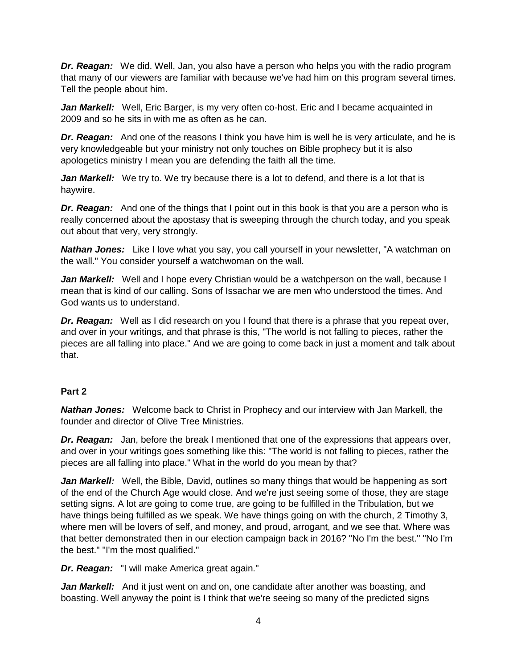*Dr. Reagan:* We did. Well, Jan, you also have a person who helps you with the radio program that many of our viewers are familiar with because we've had him on this program several times. Tell the people about him.

**Jan Markell:** Well, Eric Barger, is my very often co-host. Eric and I became acquainted in 2009 and so he sits in with me as often as he can.

*Dr. Reagan:* And one of the reasons I think you have him is well he is very articulate, and he is very knowledgeable but your ministry not only touches on Bible prophecy but it is also apologetics ministry I mean you are defending the faith all the time.

*Jan Markell:* We try to. We try because there is a lot to defend, and there is a lot that is haywire.

**Dr. Reagan:** And one of the things that I point out in this book is that you are a person who is really concerned about the apostasy that is sweeping through the church today, and you speak out about that very, very strongly.

*Nathan Jones:* Like I love what you say, you call yourself in your newsletter, "A watchman on the wall." You consider yourself a watchwoman on the wall.

**Jan Markell:** Well and I hope every Christian would be a watchperson on the wall, because I mean that is kind of our calling. Sons of Issachar we are men who understood the times. And God wants us to understand.

*Dr. Reagan:* Well as I did research on you I found that there is a phrase that you repeat over, and over in your writings, and that phrase is this, "The world is not falling to pieces, rather the pieces are all falling into place." And we are going to come back in just a moment and talk about that.

## **Part 2**

*Nathan Jones:* Welcome back to Christ in Prophecy and our interview with Jan Markell, the founder and director of Olive Tree Ministries.

*Dr. Reagan:* Jan, before the break I mentioned that one of the expressions that appears over, and over in your writings goes something like this: "The world is not falling to pieces, rather the pieces are all falling into place." What in the world do you mean by that?

*Jan Markell:* Well, the Bible, David, outlines so many things that would be happening as sort of the end of the Church Age would close. And we're just seeing some of those, they are stage setting signs. A lot are going to come true, are going to be fulfilled in the Tribulation, but we have things being fulfilled as we speak. We have things going on with the church, 2 Timothy 3, where men will be lovers of self, and money, and proud, arrogant, and we see that. Where was that better demonstrated then in our election campaign back in 2016? "No I'm the best." "No I'm the best." "I'm the most qualified."

*Dr. Reagan:* "I will make America great again."

Jan Markell: And it just went on and on, one candidate after another was boasting, and boasting. Well anyway the point is I think that we're seeing so many of the predicted signs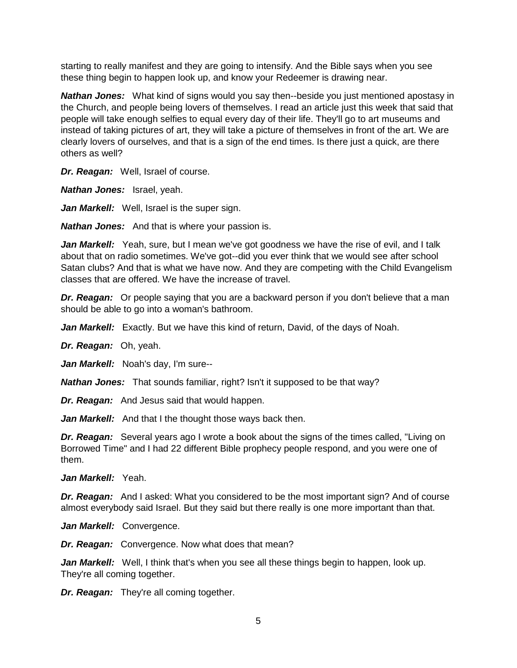starting to really manifest and they are going to intensify. And the Bible says when you see these thing begin to happen look up, and know your Redeemer is drawing near.

*Nathan Jones:* What kind of signs would you say then--beside you just mentioned apostasy in the Church, and people being lovers of themselves. I read an article just this week that said that people will take enough selfies to equal every day of their life. They'll go to art museums and instead of taking pictures of art, they will take a picture of themselves in front of the art. We are clearly lovers of ourselves, and that is a sign of the end times. Is there just a quick, are there others as well?

*Dr. Reagan:* Well, Israel of course.

*Nathan Jones:* Israel, yeah.

Jan Markell: Well, Israel is the super sign.

*Nathan Jones:* And that is where your passion is.

*Jan Markell:* Yeah, sure, but I mean we've got goodness we have the rise of evil, and I talk about that on radio sometimes. We've got--did you ever think that we would see after school Satan clubs? And that is what we have now. And they are competing with the Child Evangelism classes that are offered. We have the increase of travel.

**Dr. Reagan:** Or people saying that you are a backward person if you don't believe that a man should be able to go into a woman's bathroom.

*Jan Markell:* Exactly. But we have this kind of return, David, of the days of Noah.

*Dr. Reagan:* Oh, yeah.

*Jan Markell:* Noah's day, I'm sure--

*Nathan Jones:* That sounds familiar, right? Isn't it supposed to be that way?

*Dr. Reagan:* And Jesus said that would happen.

Jan Markell: And that I the thought those ways back then.

*Dr. Reagan:* Several years ago I wrote a book about the signs of the times called, "Living on Borrowed Time" and I had 22 different Bible prophecy people respond, and you were one of them.

*Jan Markell:* Yeah.

**Dr. Reagan:** And I asked: What you considered to be the most important sign? And of course almost everybody said Israel. But they said but there really is one more important than that.

*Jan Markell:* Convergence.

*Dr. Reagan:* Convergence. Now what does that mean?

*Jan Markell:* Well, I think that's when you see all these things begin to happen, look up. They're all coming together.

*Dr. Reagan:* They're all coming together.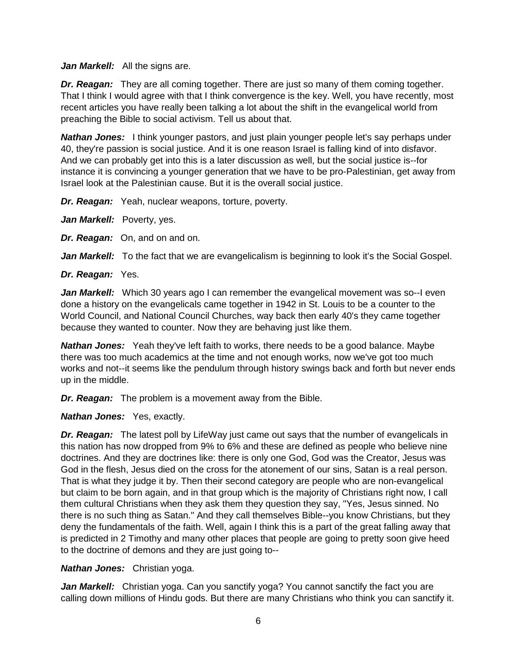#### *Jan Markell:* All the signs are.

*Dr. Reagan:* They are all coming together. There are just so many of them coming together. That I think I would agree with that I think convergence is the key. Well, you have recently, most recent articles you have really been talking a lot about the shift in the evangelical world from preaching the Bible to social activism. Tell us about that.

*Nathan Jones:* I think younger pastors, and just plain younger people let's say perhaps under 40, they're passion is social justice. And it is one reason Israel is falling kind of into disfavor. And we can probably get into this is a later discussion as well, but the social justice is--for instance it is convincing a younger generation that we have to be pro-Palestinian, get away from Israel look at the Palestinian cause. But it is the overall social justice.

*Dr. Reagan:* Yeah, nuclear weapons, torture, poverty.

Jan Markell: Poverty, yes.

*Dr. Reagan:* On, and on and on.

*Jan Markell:* To the fact that we are evangelicalism is beginning to look it's the Social Gospel.

*Dr. Reagan:* Yes.

*Jan Markell:* Which 30 years ago I can remember the evangelical movement was so--I even done a history on the evangelicals came together in 1942 in St. Louis to be a counter to the World Council, and National Council Churches, way back then early 40's they came together because they wanted to counter. Now they are behaving just like them.

*Nathan Jones:* Yeah they've left faith to works, there needs to be a good balance. Maybe there was too much academics at the time and not enough works, now we've got too much works and not--it seems like the pendulum through history swings back and forth but never ends up in the middle.

*Dr. Reagan:* The problem is a movement away from the Bible.

*Nathan Jones:* Yes, exactly.

*Dr. Reagan:* The latest poll by LifeWay just came out says that the number of evangelicals in this nation has now dropped from 9% to 6% and these are defined as people who believe nine doctrines. And they are doctrines like: there is only one God, God was the Creator, Jesus was God in the flesh, Jesus died on the cross for the atonement of our sins, Satan is a real person. That is what they judge it by. Then their second category are people who are non-evangelical but claim to be born again, and in that group which is the majority of Christians right now, I call them cultural Christians when they ask them they question they say, "Yes, Jesus sinned. No there is no such thing as Satan." And they call themselves Bible--you know Christians, but they deny the fundamentals of the faith. Well, again I think this is a part of the great falling away that is predicted in 2 Timothy and many other places that people are going to pretty soon give heed to the doctrine of demons and they are just going to--

*Nathan Jones:* Christian yoga.

Jan Markell: Christian yoga. Can you sanctify yoga? You cannot sanctify the fact you are calling down millions of Hindu gods. But there are many Christians who think you can sanctify it.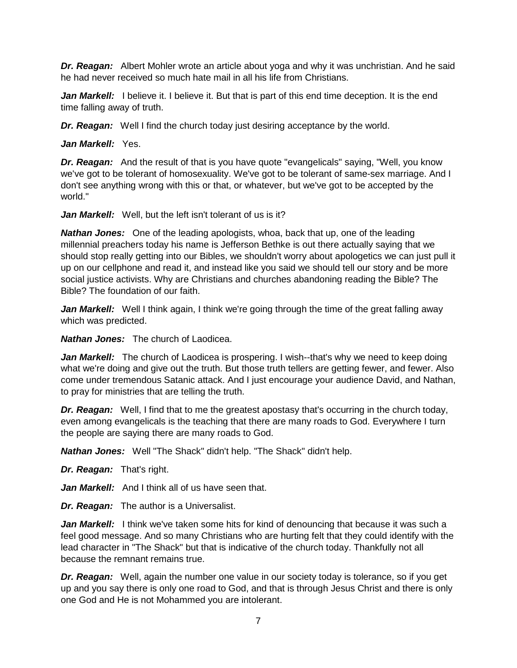*Dr. Reagan:* Albert Mohler wrote an article about yoga and why it was unchristian. And he said he had never received so much hate mail in all his life from Christians.

**Jan Markell:** I believe it. I believe it. But that is part of this end time deception. It is the end time falling away of truth.

*Dr. Reagan:* Well I find the church today just desiring acceptance by the world.

*Jan Markell:* Yes.

*Dr. Reagan:* And the result of that is you have quote "evangelicals" saying, "Well, you know we've got to be tolerant of homosexuality. We've got to be tolerant of same-sex marriage. And I don't see anything wrong with this or that, or whatever, but we've got to be accepted by the world."

*Jan Markell:* Well, but the left isn't tolerant of us is it?

*Nathan Jones:* One of the leading apologists, whoa, back that up, one of the leading millennial preachers today his name is Jefferson Bethke is out there actually saying that we should stop really getting into our Bibles, we shouldn't worry about apologetics we can just pull it up on our cellphone and read it, and instead like you said we should tell our story and be more social justice activists. Why are Christians and churches abandoning reading the Bible? The Bible? The foundation of our faith.

**Jan Markell:** Well I think again, I think we're going through the time of the great falling away which was predicted.

*Nathan Jones:* The church of Laodicea.

Jan Markell: The church of Laodicea is prospering. I wish--that's why we need to keep doing what we're doing and give out the truth. But those truth tellers are getting fewer, and fewer. Also come under tremendous Satanic attack. And I just encourage your audience David, and Nathan, to pray for ministries that are telling the truth.

*Dr. Reagan:* Well, I find that to me the greatest apostasy that's occurring in the church today, even among evangelicals is the teaching that there are many roads to God. Everywhere I turn the people are saying there are many roads to God.

*Nathan Jones:* Well "The Shack" didn't help. "The Shack" didn't help.

*Dr. Reagan:* That's right.

*Jan Markell:* And I think all of us have seen that.

*Dr. Reagan:* The author is a Universalist.

Jan Markell: I think we've taken some hits for kind of denouncing that because it was such a feel good message. And so many Christians who are hurting felt that they could identify with the lead character in "The Shack" but that is indicative of the church today. Thankfully not all because the remnant remains true.

*Dr. Reagan:* Well, again the number one value in our society today is tolerance, so if you get up and you say there is only one road to God, and that is through Jesus Christ and there is only one God and He is not Mohammed you are intolerant.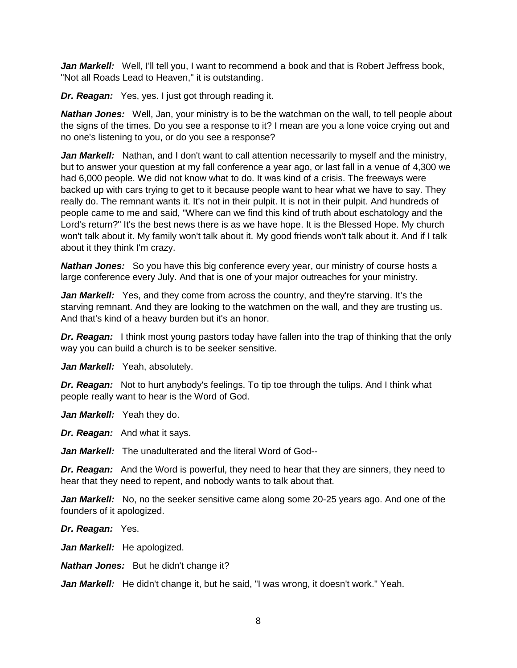*Jan Markell:* Well, I'll tell you, I want to recommend a book and that is Robert Jeffress book, "Not all Roads Lead to Heaven," it is outstanding.

*Dr. Reagan:* Yes, yes. I just got through reading it.

*Nathan Jones:* Well, Jan, your ministry is to be the watchman on the wall, to tell people about the signs of the times. Do you see a response to it? I mean are you a lone voice crying out and no one's listening to you, or do you see a response?

*Jan Markell:* Nathan, and I don't want to call attention necessarily to myself and the ministry, but to answer your question at my fall conference a year ago, or last fall in a venue of 4,300 we had 6,000 people. We did not know what to do. It was kind of a crisis. The freeways were backed up with cars trying to get to it because people want to hear what we have to say. They really do. The remnant wants it. It's not in their pulpit. It is not in their pulpit. And hundreds of people came to me and said, "Where can we find this kind of truth about eschatology and the Lord's return?" It's the best news there is as we have hope. It is the Blessed Hope. My church won't talk about it. My family won't talk about it. My good friends won't talk about it. And if I talk about it they think I'm crazy.

*Nathan Jones:* So you have this big conference every year, our ministry of course hosts a large conference every July. And that is one of your major outreaches for your ministry.

*Jan Markell:* Yes, and they come from across the country, and they're starving. It's the starving remnant. And they are looking to the watchmen on the wall, and they are trusting us. And that's kind of a heavy burden but it's an honor.

*Dr. Reagan:* I think most young pastors today have fallen into the trap of thinking that the only way you can build a church is to be seeker sensitive.

Jan Markell: Yeah, absolutely.

*Dr. Reagan:* Not to hurt anybody's feelings. To tip toe through the tulips. And I think what people really want to hear is the Word of God.

*Jan Markell:* Yeah they do.

*Dr. Reagan:* And what it says.

*Jan Markell:* The unadulterated and the literal Word of God--

*Dr. Reagan:* And the Word is powerful, they need to hear that they are sinners, they need to hear that they need to repent, and nobody wants to talk about that.

*Jan Markell:* No, no the seeker sensitive came along some 20-25 years ago. And one of the founders of it apologized.

*Dr. Reagan:* Yes.

Jan Markell: He apologized.

*Nathan Jones:* But he didn't change it?

Jan Markell: He didn't change it, but he said, "I was wrong, it doesn't work." Yeah.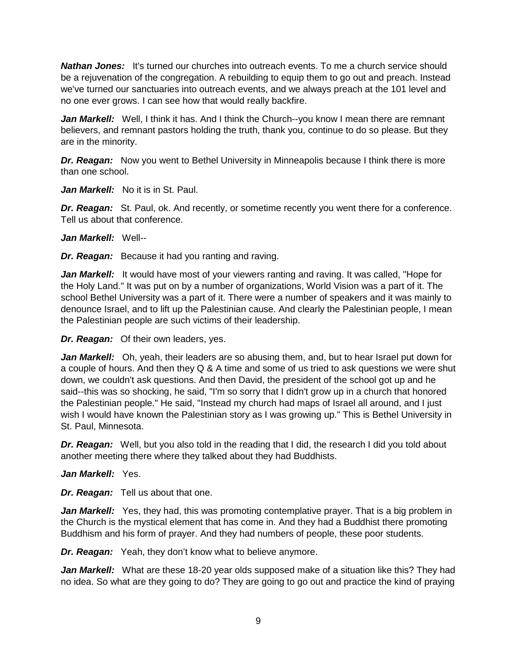*Nathan Jones:* It's turned our churches into outreach events. To me a church service should be a rejuvenation of the congregation. A rebuilding to equip them to go out and preach. Instead we've turned our sanctuaries into outreach events, and we always preach at the 101 level and no one ever grows. I can see how that would really backfire.

**Jan Markell:** Well, I think it has. And I think the Church--you know I mean there are remnant believers, and remnant pastors holding the truth, thank you, continue to do so please. But they are in the minority.

*Dr. Reagan:* Now you went to Bethel University in Minneapolis because I think there is more than one school.

*Jan Markell:* No it is in St. Paul.

**Dr. Reagan:** St. Paul, ok. And recently, or sometime recently you went there for a conference. Tell us about that conference.

*Jan Markell:* Well--

*Dr. Reagan:* Because it had you ranting and raving.

Jan Markell: It would have most of your viewers ranting and raving. It was called, "Hope for the Holy Land." It was put on by a number of organizations, World Vision was a part of it. The school Bethel University was a part of it. There were a number of speakers and it was mainly to denounce Israel, and to lift up the Palestinian cause. And clearly the Palestinian people, I mean the Palestinian people are such victims of their leadership.

*Dr. Reagan:* Of their own leaders, yes.

*Jan Markell:* Oh, yeah, their leaders are so abusing them, and, but to hear Israel put down for a couple of hours. And then they Q & A time and some of us tried to ask questions we were shut down, we couldn't ask questions. And then David, the president of the school got up and he said--this was so shocking, he said, "I'm so sorry that I didn't grow up in a church that honored the Palestinian people." He said, "Instead my church had maps of Israel all around, and I just wish I would have known the Palestinian story as I was growing up." This is Bethel University in St. Paul, Minnesota.

**Dr. Reagan:** Well, but you also told in the reading that I did, the research I did you told about another meeting there where they talked about they had Buddhists.

*Jan Markell:* Yes.

*Dr. Reagan:* Tell us about that one.

Jan Markell: Yes, they had, this was promoting contemplative prayer. That is a big problem in the Church is the mystical element that has come in. And they had a Buddhist there promoting Buddhism and his form of prayer. And they had numbers of people, these poor students.

*Dr. Reagan:* Yeah, they don't know what to believe anymore.

Jan Markell: What are these 18-20 year olds supposed make of a situation like this? They had no idea. So what are they going to do? They are going to go out and practice the kind of praying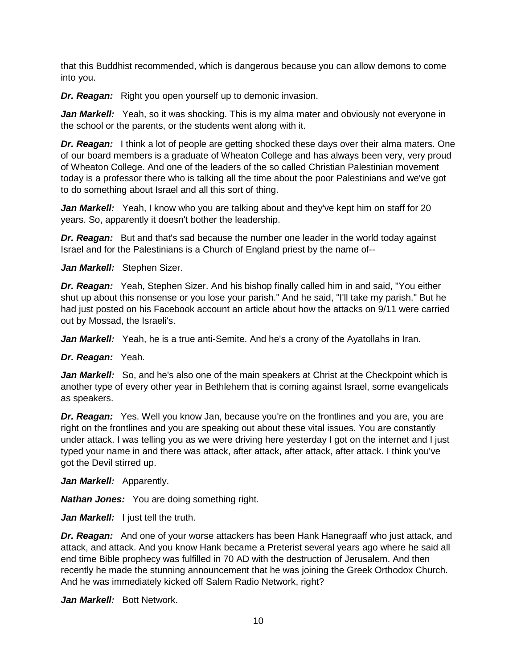that this Buddhist recommended, which is dangerous because you can allow demons to come into you.

**Dr. Reagan:** Right you open yourself up to demonic invasion.

**Jan Markell:** Yeah, so it was shocking. This is my alma mater and obviously not everyone in the school or the parents, or the students went along with it.

*Dr. Reagan:* I think a lot of people are getting shocked these days over their alma maters. One of our board members is a graduate of Wheaton College and has always been very, very proud of Wheaton College. And one of the leaders of the so called Christian Palestinian movement today is a professor there who is talking all the time about the poor Palestinians and we've got to do something about Israel and all this sort of thing.

Jan Markell: Yeah, I know who you are talking about and they've kept him on staff for 20 years. So, apparently it doesn't bother the leadership.

**Dr. Reagan:** But and that's sad because the number one leader in the world today against Israel and for the Palestinians is a Church of England priest by the name of--

*Jan Markell:* Stephen Sizer.

*Dr. Reagan:* Yeah, Stephen Sizer. And his bishop finally called him in and said, "You either shut up about this nonsense or you lose your parish." And he said, "I'll take my parish." But he had just posted on his Facebook account an article about how the attacks on 9/11 were carried out by Mossad, the Israeli's.

*Jan Markell:* Yeah, he is a true anti-Semite. And he's a crony of the Ayatollahs in Iran.

*Dr. Reagan:* Yeah.

Jan Markell: So, and he's also one of the main speakers at Christ at the Checkpoint which is another type of every other year in Bethlehem that is coming against Israel, some evangelicals as speakers.

**Dr. Reagan:** Yes. Well you know Jan, because you're on the frontlines and you are, you are right on the frontlines and you are speaking out about these vital issues. You are constantly under attack. I was telling you as we were driving here yesterday I got on the internet and I just typed your name in and there was attack, after attack, after attack, after attack. I think you've got the Devil stirred up.

*Jan Markell:* Apparently.

*Nathan Jones:* You are doing something right.

Jan Markell: I just tell the truth.

*Dr. Reagan:* And one of your worse attackers has been Hank Hanegraaff who just attack, and attack, and attack. And you know Hank became a Preterist several years ago where he said all end time Bible prophecy was fulfilled in 70 AD with the destruction of Jerusalem. And then recently he made the stunning announcement that he was joining the Greek Orthodox Church. And he was immediately kicked off Salem Radio Network, right?

*Jan Markell:* Bott Network.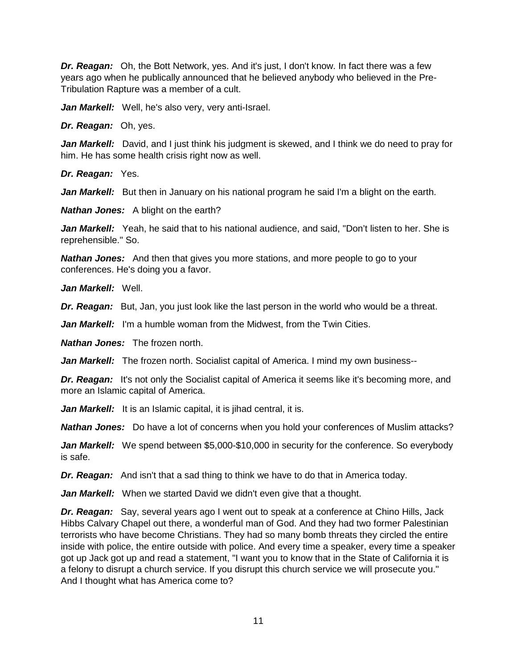*Dr. Reagan:* Oh, the Bott Network, yes. And it's just, I don't know. In fact there was a few years ago when he publically announced that he believed anybody who believed in the Pre-Tribulation Rapture was a member of a cult.

Jan Markell: Well, he's also very, very anti-Israel.

*Dr. Reagan:* Oh, yes.

*Jan Markell:* David, and I just think his judgment is skewed, and I think we do need to pray for him. He has some health crisis right now as well.

*Dr. Reagan:* Yes.

*Jan Markell:* But then in January on his national program he said I'm a blight on the earth.

*Nathan Jones:* A blight on the earth?

*Jan Markell:* Yeah, he said that to his national audience, and said, "Don't listen to her. She is reprehensible." So.

*Nathan Jones:* And then that gives you more stations, and more people to go to your conferences. He's doing you a favor.

*Jan Markell:* Well.

**Dr. Reagan:** But, Jan, you just look like the last person in the world who would be a threat.

Jan Markell: I'm a humble woman from the Midwest, from the Twin Cities.

*Nathan Jones:* The frozen north.

Jan Markell: The frozen north. Socialist capital of America. I mind my own business--

**Dr. Reagan:** It's not only the Socialist capital of America it seems like it's becoming more, and more an Islamic capital of America.

Jan Markell: It is an Islamic capital, it is jihad central, it is.

*Nathan Jones:* Do have a lot of concerns when you hold your conferences of Muslim attacks?

**Jan Markell:** We spend between \$5,000-\$10,000 in security for the conference. So everybody is safe.

*Dr. Reagan:* And isn't that a sad thing to think we have to do that in America today.

*Jan Markell:* When we started David we didn't even give that a thought.

*Dr. Reagan:* Say, several years ago I went out to speak at a conference at Chino Hills, Jack Hibbs Calvary Chapel out there, a wonderful man of God. And they had two former Palestinian terrorists who have become Christians. They had so many bomb threats they circled the entire inside with police, the entire outside with police. And every time a speaker, every time a speaker got up Jack got up and read a statement, "I want you to know that in the State of California it is a felony to disrupt a church service. If you disrupt this church service we will prosecute you." And I thought what has America come to?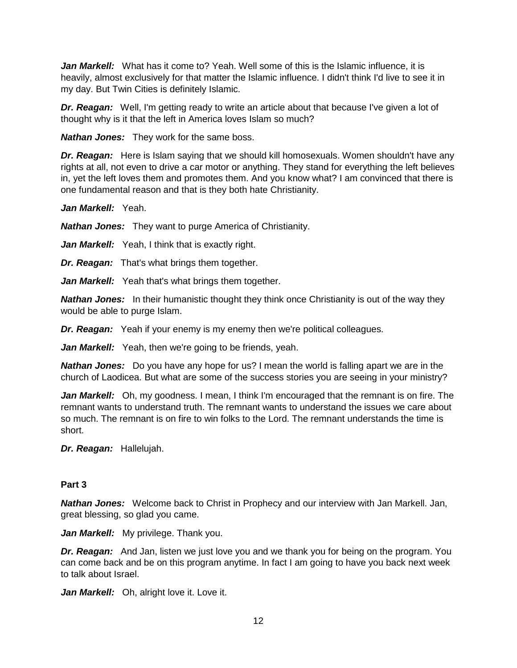*Jan Markell:* What has it come to? Yeah. Well some of this is the Islamic influence, it is heavily, almost exclusively for that matter the Islamic influence. I didn't think I'd live to see it in my day. But Twin Cities is definitely Islamic.

*Dr. Reagan:* Well, I'm getting ready to write an article about that because I've given a lot of thought why is it that the left in America loves Islam so much?

*Nathan Jones:* They work for the same boss.

*Dr. Reagan:* Here is Islam saying that we should kill homosexuals. Women shouldn't have any rights at all, not even to drive a car motor or anything. They stand for everything the left believes in, yet the left loves them and promotes them. And you know what? I am convinced that there is one fundamental reason and that is they both hate Christianity.

*Jan Markell:* Yeah.

*Nathan Jones:* They want to purge America of Christianity.

Jan Markell: Yeah, I think that is exactly right.

*Dr. Reagan:* That's what brings them together.

Jan Markell: Yeah that's what brings them together.

*Nathan Jones:* In their humanistic thought they think once Christianity is out of the way they would be able to purge Islam.

*Dr. Reagan:* Yeah if your enemy is my enemy then we're political colleagues.

Jan Markell: Yeah, then we're going to be friends, yeah.

*Nathan Jones:* Do you have any hope for us? I mean the world is falling apart we are in the church of Laodicea. But what are some of the success stories you are seeing in your ministry?

*Jan Markell:* Oh, my goodness. I mean, I think I'm encouraged that the remnant is on fire. The remnant wants to understand truth. The remnant wants to understand the issues we care about so much. The remnant is on fire to win folks to the Lord. The remnant understands the time is short.

*Dr. Reagan:* Hallelujah.

### **Part 3**

*Nathan Jones:* Welcome back to Christ in Prophecy and our interview with Jan Markell. Jan, great blessing, so glad you came.

Jan Markell: My privilege. Thank you.

*Dr. Reagan:* And Jan, listen we just love you and we thank you for being on the program. You can come back and be on this program anytime. In fact I am going to have you back next week to talk about Israel.

Jan Markell: Oh, alright love it. Love it.